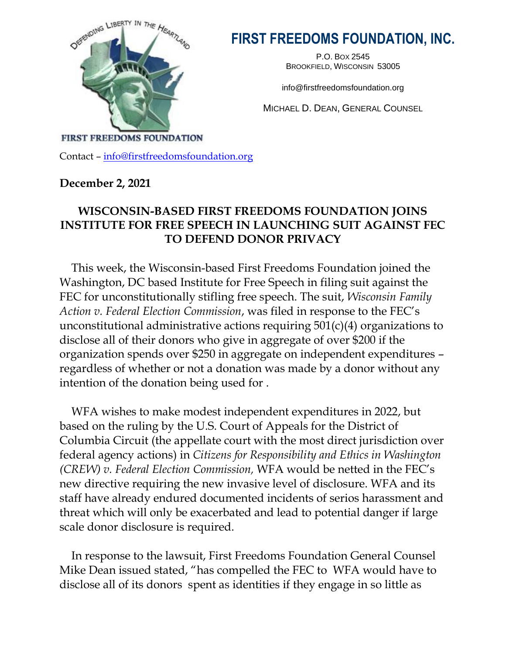

# **FIRST FREEDOMS FOUNDATION, INC.**

P.O. BOX 2545 BROOKFIELD, WISCONSIN 53005

info@firstfreedomsfoundation.org

MICHAEL D. DEAN, GENERAL COUNSEL

**FIRST FREEDOMS FOUNDATION** 

Contact – [info@firstfreedomsfoundation.org](mailto:info@firstfreedomsfoundation.org)

### **December 2, 2021**

## **WISCONSIN-BASED FIRST FREEDOMS FOUNDATION JOINS INSTITUTE FOR FREE SPEECH IN LAUNCHING SUIT AGAINST FEC TO DEFEND DONOR PRIVACY**

This week, the Wisconsin-based First Freedoms Foundation joined the Washington, DC based Institute for Free Speech in filing suit against the FEC for unconstitutionally stifling free speech. The suit, *Wisconsin Family Action v. Federal Election Commission*, was filed in response to the FEC's unconstitutional administrative actions requiring 501(c)(4) organizations to disclose all of their donors who give in aggregate of over \$200 if the organization spends over \$250 in aggregate on independent expenditures – regardless of whether or not a donation was made by a donor without any intention of the donation being used for .

WFA wishes to make modest independent expenditures in 2022, but based on the ruling by the U.S. Court of Appeals for the District of Columbia Circuit (the appellate court with the most direct jurisdiction over federal agency actions) in *Citizens for Responsibility and Ethics in Washington (CREW) v. Federal Election Commission,* WFA would be netted in the FEC's new directive requiring the new invasive level of disclosure. WFA and its staff have already endured documented incidents of serios harassment and threat which will only be exacerbated and lead to potential danger if large scale donor disclosure is required.

In response to the lawsuit, First Freedoms Foundation General Counsel Mike Dean issued stated, "has compelled the FEC to WFA would have to disclose all of its donors spent as identities if they engage in so little as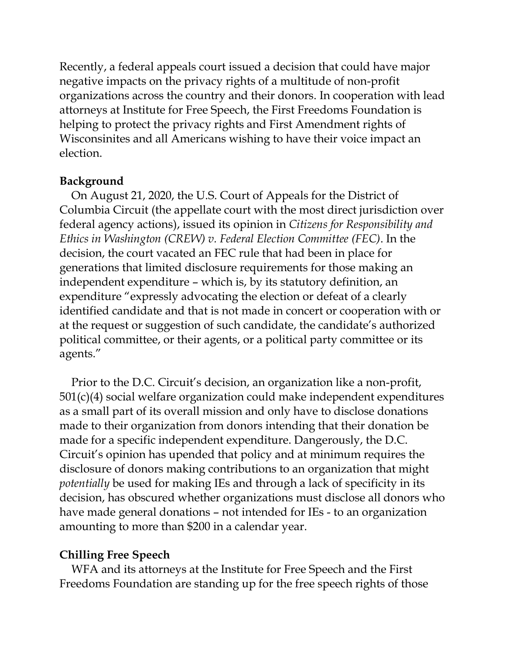Recently, a federal appeals court issued a decision that could have major negative impacts on the privacy rights of a multitude of non-profit organizations across the country and their donors. In cooperation with lead attorneys at Institute for Free Speech, the First Freedoms Foundation is helping to protect the privacy rights and First Amendment rights of Wisconsinites and all Americans wishing to have their voice impact an election.

#### **Background**

On August 21, 2020, the U.S. Court of Appeals for the District of Columbia Circuit (the appellate court with the most direct jurisdiction over federal agency actions), issued its opinion in *Citizens for Responsibility and Ethics in Washington (CREW) v. Federal Election Committee (FEC)*. In the decision, the court vacated an FEC rule that had been in place for generations that limited disclosure requirements for those making an independent expenditure – which is, by its statutory definition, an expenditure "expressly advocating the election or defeat of a clearly identified candidate and that is not made in concert or cooperation with or at the request or suggestion of such candidate, the candidate's authorized political committee, or their agents, or a political party committee or its agents."

Prior to the D.C. Circuit's decision, an organization like a non-profit, 501(c)(4) social welfare organization could make independent expenditures as a small part of its overall mission and only have to disclose donations made to their organization from donors intending that their donation be made for a specific independent expenditure. Dangerously, the D.C. Circuit's opinion has upended that policy and at minimum requires the disclosure of donors making contributions to an organization that might *potentially* be used for making IEs and through a lack of specificity in its decision, has obscured whether organizations must disclose all donors who have made general donations – not intended for IEs - to an organization amounting to more than \$200 in a calendar year.

#### **Chilling Free Speech**

WFA and its attorneys at the Institute for Free Speech and the First Freedoms Foundation are standing up for the free speech rights of those